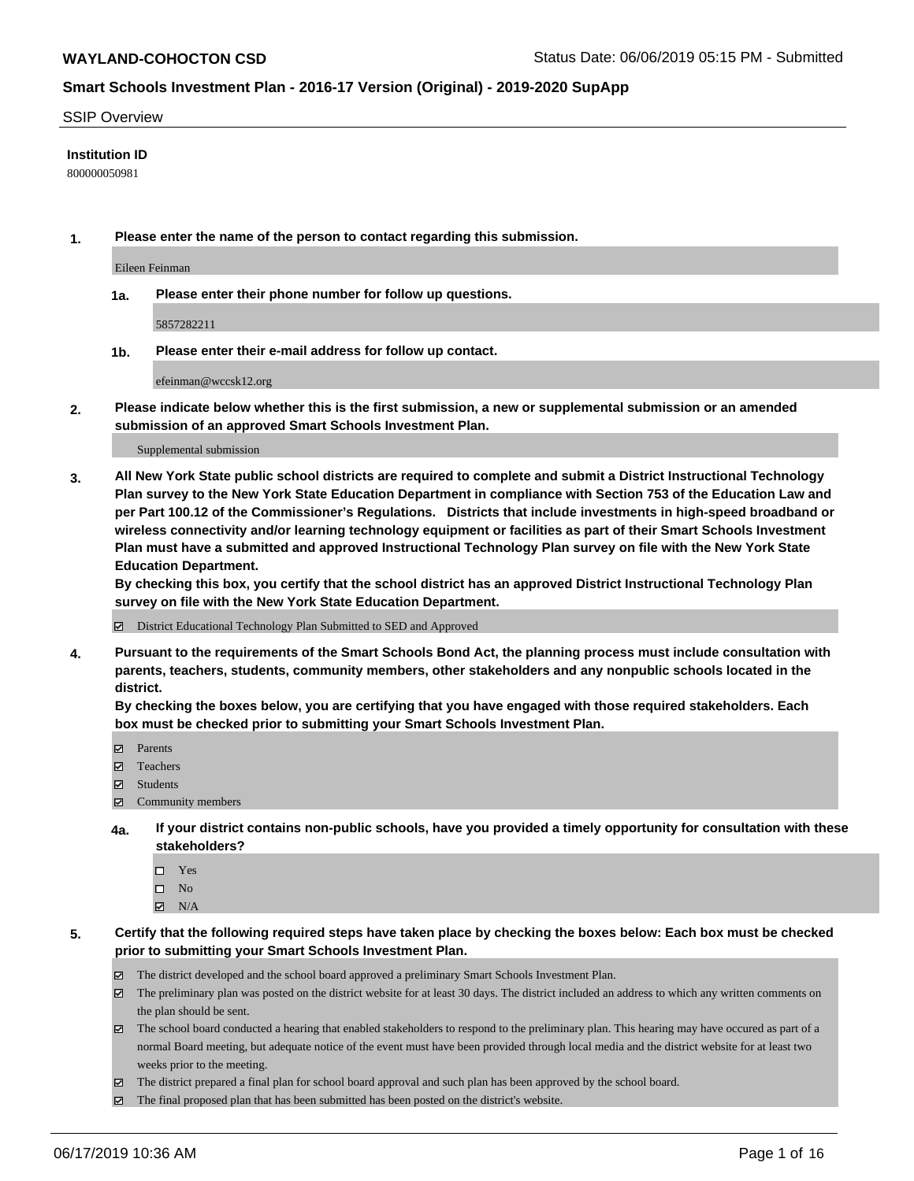#### SSIP Overview

#### **Institution ID**

800000050981

**1. Please enter the name of the person to contact regarding this submission.**

Eileen Feinman

**1a. Please enter their phone number for follow up questions.**

5857282211

**1b. Please enter their e-mail address for follow up contact.**

efeinman@wccsk12.org

**2. Please indicate below whether this is the first submission, a new or supplemental submission or an amended submission of an approved Smart Schools Investment Plan.**

#### Supplemental submission

**3. All New York State public school districts are required to complete and submit a District Instructional Technology Plan survey to the New York State Education Department in compliance with Section 753 of the Education Law and per Part 100.12 of the Commissioner's Regulations. Districts that include investments in high-speed broadband or wireless connectivity and/or learning technology equipment or facilities as part of their Smart Schools Investment Plan must have a submitted and approved Instructional Technology Plan survey on file with the New York State Education Department.** 

**By checking this box, you certify that the school district has an approved District Instructional Technology Plan survey on file with the New York State Education Department.**

District Educational Technology Plan Submitted to SED and Approved

**4. Pursuant to the requirements of the Smart Schools Bond Act, the planning process must include consultation with parents, teachers, students, community members, other stakeholders and any nonpublic schools located in the district.** 

**By checking the boxes below, you are certifying that you have engaged with those required stakeholders. Each box must be checked prior to submitting your Smart Schools Investment Plan.**

- Parents
- Teachers
- Students
- $\Xi$  Community members
- **4a. If your district contains non-public schools, have you provided a timely opportunity for consultation with these stakeholders?**
	- □ Yes
	- $\square$  No
	- $N/A$
- **5. Certify that the following required steps have taken place by checking the boxes below: Each box must be checked prior to submitting your Smart Schools Investment Plan.**
	- The district developed and the school board approved a preliminary Smart Schools Investment Plan.
	- $\boxtimes$  The preliminary plan was posted on the district website for at least 30 days. The district included an address to which any written comments on the plan should be sent.
	- $\boxtimes$  The school board conducted a hearing that enabled stakeholders to respond to the preliminary plan. This hearing may have occured as part of a normal Board meeting, but adequate notice of the event must have been provided through local media and the district website for at least two weeks prior to the meeting.
	- The district prepared a final plan for school board approval and such plan has been approved by the school board.
	- $\boxtimes$  The final proposed plan that has been submitted has been posted on the district's website.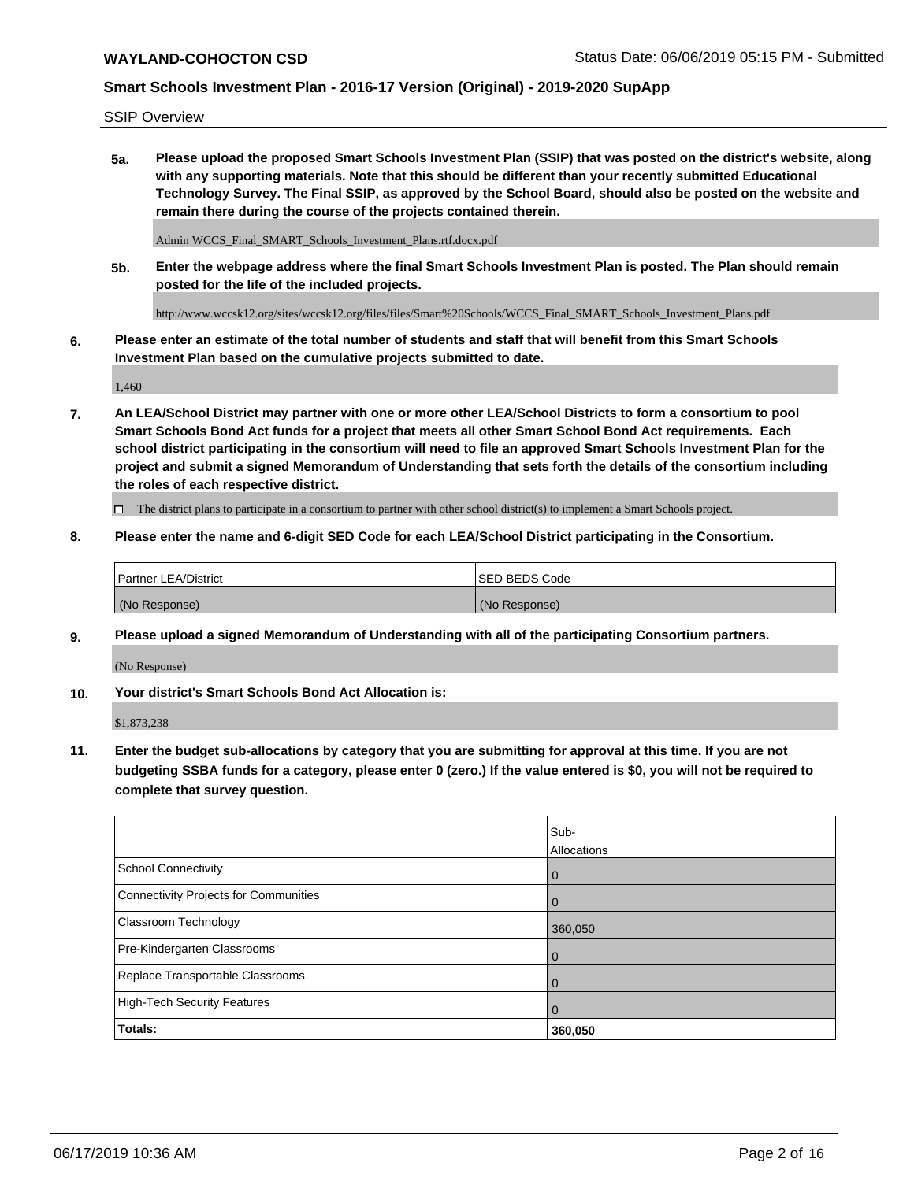SSIP Overview

**5a. Please upload the proposed Smart Schools Investment Plan (SSIP) that was posted on the district's website, along with any supporting materials. Note that this should be different than your recently submitted Educational Technology Survey. The Final SSIP, as approved by the School Board, should also be posted on the website and remain there during the course of the projects contained therein.**

Admin WCCS\_Final\_SMART\_Schools\_Investment\_Plans.rtf.docx.pdf

**5b. Enter the webpage address where the final Smart Schools Investment Plan is posted. The Plan should remain posted for the life of the included projects.**

http://www.wccsk12.org/sites/wccsk12.org/files/files/Smart%20Schools/WCCS\_Final\_SMART\_Schools\_Investment\_Plans.pdf

**6. Please enter an estimate of the total number of students and staff that will benefit from this Smart Schools Investment Plan based on the cumulative projects submitted to date.**

1,460

**7. An LEA/School District may partner with one or more other LEA/School Districts to form a consortium to pool Smart Schools Bond Act funds for a project that meets all other Smart School Bond Act requirements. Each school district participating in the consortium will need to file an approved Smart Schools Investment Plan for the project and submit a signed Memorandum of Understanding that sets forth the details of the consortium including the roles of each respective district.**

 $\Box$  The district plans to participate in a consortium to partner with other school district(s) to implement a Smart Schools project.

#### **8. Please enter the name and 6-digit SED Code for each LEA/School District participating in the Consortium.**

| Partner LEA/District | <b>ISED BEDS Code</b> |
|----------------------|-----------------------|
| (No Response)        | (No Response)         |

#### **9. Please upload a signed Memorandum of Understanding with all of the participating Consortium partners.**

(No Response)

**10. Your district's Smart Schools Bond Act Allocation is:**

\$1,873,238

**11. Enter the budget sub-allocations by category that you are submitting for approval at this time. If you are not budgeting SSBA funds for a category, please enter 0 (zero.) If the value entered is \$0, you will not be required to complete that survey question.**

|                                       | Sub-<br><b>Allocations</b> |
|---------------------------------------|----------------------------|
| School Connectivity                   | $\mathbf 0$                |
| Connectivity Projects for Communities | $\Omega$                   |
| <b>Classroom Technology</b>           | 360,050                    |
| Pre-Kindergarten Classrooms           | $\overline{0}$             |
| Replace Transportable Classrooms      |                            |
| High-Tech Security Features           | 0                          |
| Totals:                               | 360,050                    |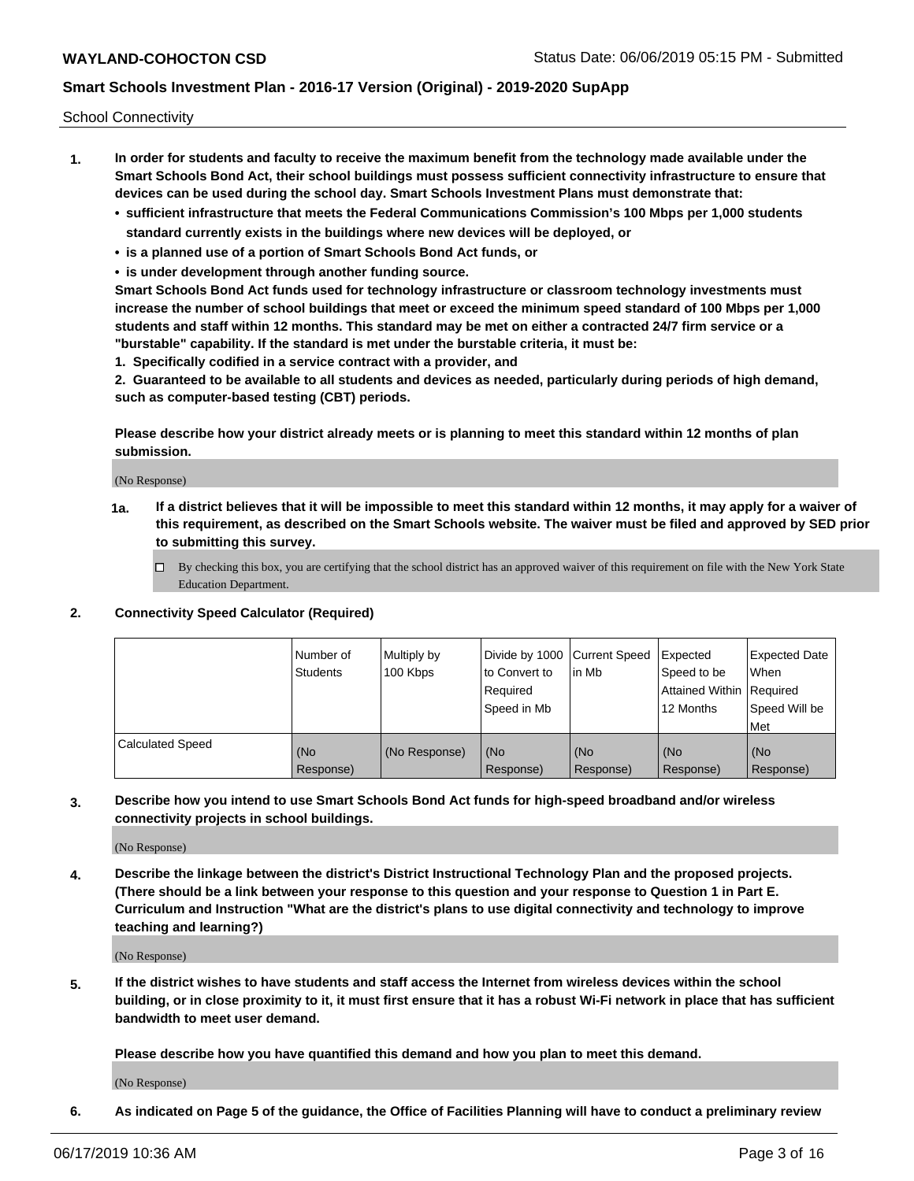School Connectivity

- **1. In order for students and faculty to receive the maximum benefit from the technology made available under the Smart Schools Bond Act, their school buildings must possess sufficient connectivity infrastructure to ensure that devices can be used during the school day. Smart Schools Investment Plans must demonstrate that:**
	- **• sufficient infrastructure that meets the Federal Communications Commission's 100 Mbps per 1,000 students standard currently exists in the buildings where new devices will be deployed, or**
	- **• is a planned use of a portion of Smart Schools Bond Act funds, or**
	- **• is under development through another funding source.**

**Smart Schools Bond Act funds used for technology infrastructure or classroom technology investments must increase the number of school buildings that meet or exceed the minimum speed standard of 100 Mbps per 1,000 students and staff within 12 months. This standard may be met on either a contracted 24/7 firm service or a "burstable" capability. If the standard is met under the burstable criteria, it must be:**

**1. Specifically codified in a service contract with a provider, and**

**2. Guaranteed to be available to all students and devices as needed, particularly during periods of high demand, such as computer-based testing (CBT) periods.**

**Please describe how your district already meets or is planning to meet this standard within 12 months of plan submission.**

(No Response)

**1a. If a district believes that it will be impossible to meet this standard within 12 months, it may apply for a waiver of this requirement, as described on the Smart Schools website. The waiver must be filed and approved by SED prior to submitting this survey.**

 $\Box$  By checking this box, you are certifying that the school district has an approved waiver of this requirement on file with the New York State Education Department.

#### **2. Connectivity Speed Calculator (Required)**

|                         | l Number of<br><b>Students</b> | Multiply by<br>100 Kbps | Divide by 1000 Current Speed<br>to Convert to<br>Required<br>l Speed in Mb | lin Mb           | Expected<br>Speed to be<br>Attained Within   Required<br>12 Months | <b>Expected Date</b><br>When<br>Speed Will be<br>Met |
|-------------------------|--------------------------------|-------------------------|----------------------------------------------------------------------------|------------------|--------------------------------------------------------------------|------------------------------------------------------|
| <b>Calculated Speed</b> | (No<br>Response)               | (No Response)           | (No<br>Response)                                                           | (No<br>Response) | (No<br>Response)                                                   | (No<br>Response)                                     |

**3. Describe how you intend to use Smart Schools Bond Act funds for high-speed broadband and/or wireless connectivity projects in school buildings.**

(No Response)

**4. Describe the linkage between the district's District Instructional Technology Plan and the proposed projects. (There should be a link between your response to this question and your response to Question 1 in Part E. Curriculum and Instruction "What are the district's plans to use digital connectivity and technology to improve teaching and learning?)**

(No Response)

**5. If the district wishes to have students and staff access the Internet from wireless devices within the school building, or in close proximity to it, it must first ensure that it has a robust Wi-Fi network in place that has sufficient bandwidth to meet user demand.**

**Please describe how you have quantified this demand and how you plan to meet this demand.**

(No Response)

**6. As indicated on Page 5 of the guidance, the Office of Facilities Planning will have to conduct a preliminary review**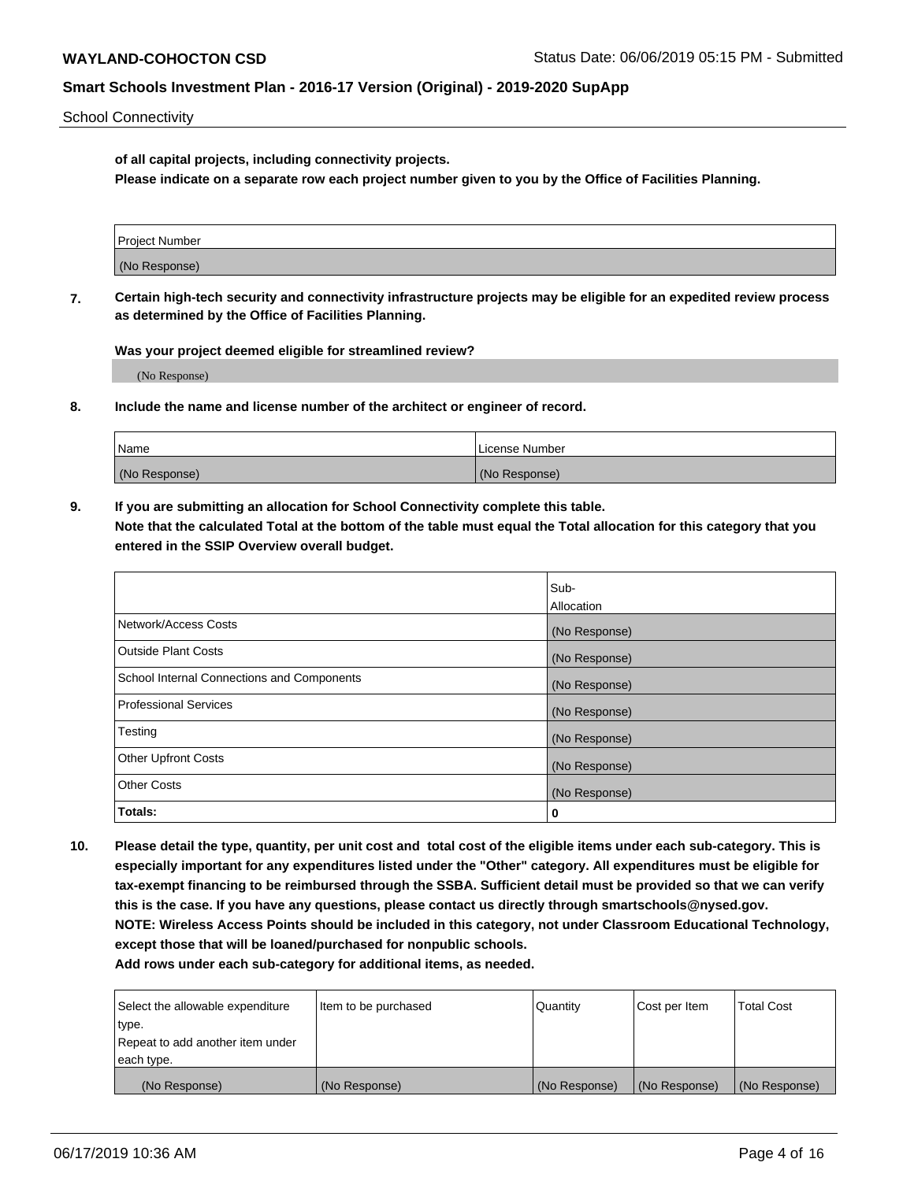School Connectivity

**of all capital projects, including connectivity projects.**

**Please indicate on a separate row each project number given to you by the Office of Facilities Planning.**

| Project Number |  |
|----------------|--|
|                |  |
| (No Response)  |  |
|                |  |

**7. Certain high-tech security and connectivity infrastructure projects may be eligible for an expedited review process as determined by the Office of Facilities Planning.**

**Was your project deemed eligible for streamlined review?**

(No Response)

**8. Include the name and license number of the architect or engineer of record.**

| Name          | License Number |
|---------------|----------------|
| (No Response) | (No Response)  |

**9. If you are submitting an allocation for School Connectivity complete this table. Note that the calculated Total at the bottom of the table must equal the Total allocation for this category that you entered in the SSIP Overview overall budget.** 

|                                            | Sub-          |
|--------------------------------------------|---------------|
|                                            | Allocation    |
| Network/Access Costs                       | (No Response) |
| Outside Plant Costs                        | (No Response) |
| School Internal Connections and Components | (No Response) |
| <b>Professional Services</b>               | (No Response) |
| Testing                                    | (No Response) |
| <b>Other Upfront Costs</b>                 | (No Response) |
| <b>Other Costs</b>                         | (No Response) |
| Totals:                                    | 0             |

**10. Please detail the type, quantity, per unit cost and total cost of the eligible items under each sub-category. This is especially important for any expenditures listed under the "Other" category. All expenditures must be eligible for tax-exempt financing to be reimbursed through the SSBA. Sufficient detail must be provided so that we can verify this is the case. If you have any questions, please contact us directly through smartschools@nysed.gov. NOTE: Wireless Access Points should be included in this category, not under Classroom Educational Technology, except those that will be loaned/purchased for nonpublic schools.**

| Select the allowable expenditure | Item to be purchased | Quantity      | <b>Cost per Item</b> | <b>Total Cost</b> |
|----------------------------------|----------------------|---------------|----------------------|-------------------|
| type.                            |                      |               |                      |                   |
| Repeat to add another item under |                      |               |                      |                   |
| each type.                       |                      |               |                      |                   |
| (No Response)                    | (No Response)        | (No Response) | (No Response)        | (No Response)     |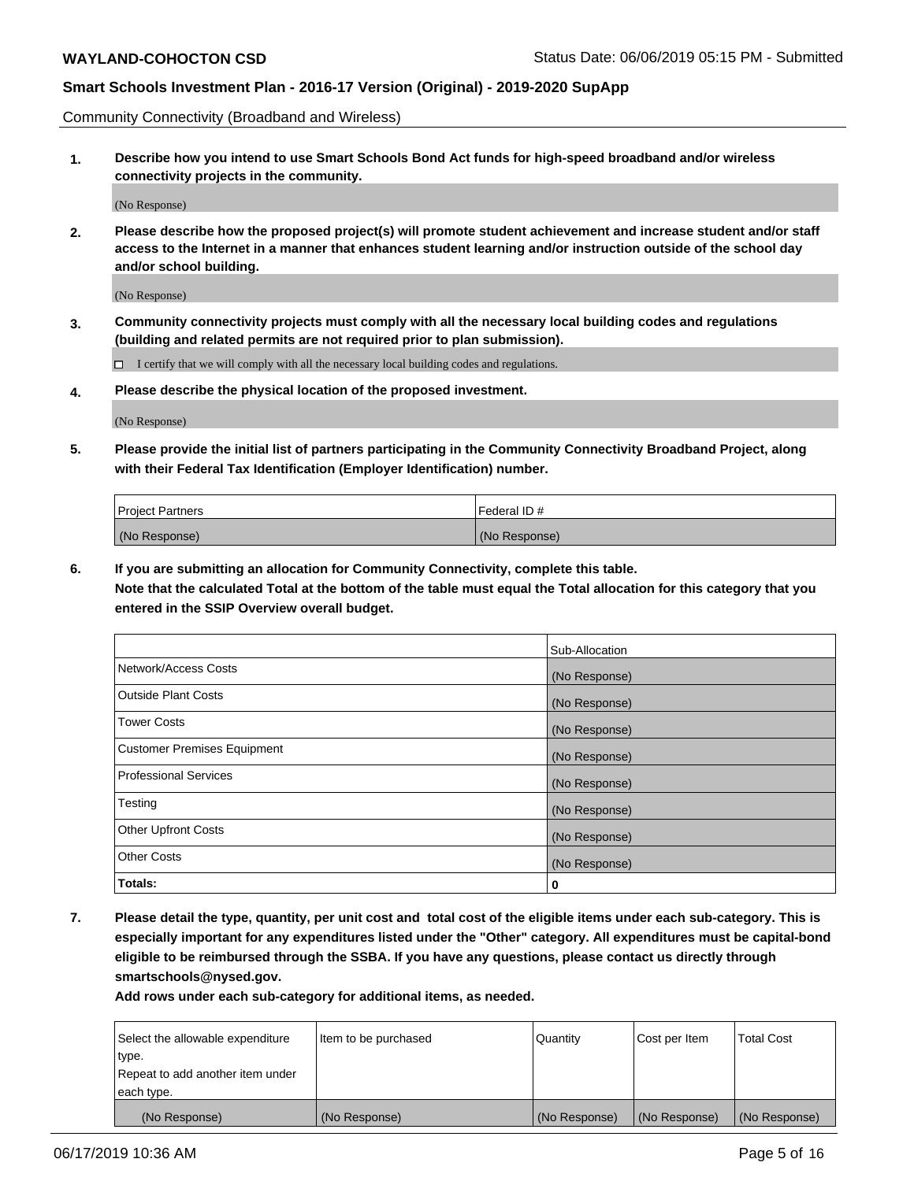Community Connectivity (Broadband and Wireless)

**1. Describe how you intend to use Smart Schools Bond Act funds for high-speed broadband and/or wireless connectivity projects in the community.**

(No Response)

**2. Please describe how the proposed project(s) will promote student achievement and increase student and/or staff access to the Internet in a manner that enhances student learning and/or instruction outside of the school day and/or school building.**

(No Response)

**3. Community connectivity projects must comply with all the necessary local building codes and regulations (building and related permits are not required prior to plan submission).**

 $\Box$  I certify that we will comply with all the necessary local building codes and regulations.

**4. Please describe the physical location of the proposed investment.**

(No Response)

**5. Please provide the initial list of partners participating in the Community Connectivity Broadband Project, along with their Federal Tax Identification (Employer Identification) number.**

| <b>Project Partners</b> | l Federal ID # |
|-------------------------|----------------|
| (No Response)           | (No Response)  |

**6. If you are submitting an allocation for Community Connectivity, complete this table.**

**Note that the calculated Total at the bottom of the table must equal the Total allocation for this category that you entered in the SSIP Overview overall budget.**

|                                    | Sub-Allocation |
|------------------------------------|----------------|
| Network/Access Costs               | (No Response)  |
| <b>Outside Plant Costs</b>         | (No Response)  |
| <b>Tower Costs</b>                 | (No Response)  |
| <b>Customer Premises Equipment</b> | (No Response)  |
| <b>Professional Services</b>       | (No Response)  |
| Testing                            | (No Response)  |
| <b>Other Upfront Costs</b>         | (No Response)  |
| <b>Other Costs</b>                 | (No Response)  |
| Totals:                            | 0              |

**7. Please detail the type, quantity, per unit cost and total cost of the eligible items under each sub-category. This is especially important for any expenditures listed under the "Other" category. All expenditures must be capital-bond eligible to be reimbursed through the SSBA. If you have any questions, please contact us directly through smartschools@nysed.gov.**

| Select the allowable expenditure | Item to be purchased | Quantity      | Cost per Item | <b>Total Cost</b> |
|----------------------------------|----------------------|---------------|---------------|-------------------|
| type.                            |                      |               |               |                   |
| Repeat to add another item under |                      |               |               |                   |
| each type.                       |                      |               |               |                   |
| (No Response)                    | (No Response)        | (No Response) | (No Response) | (No Response)     |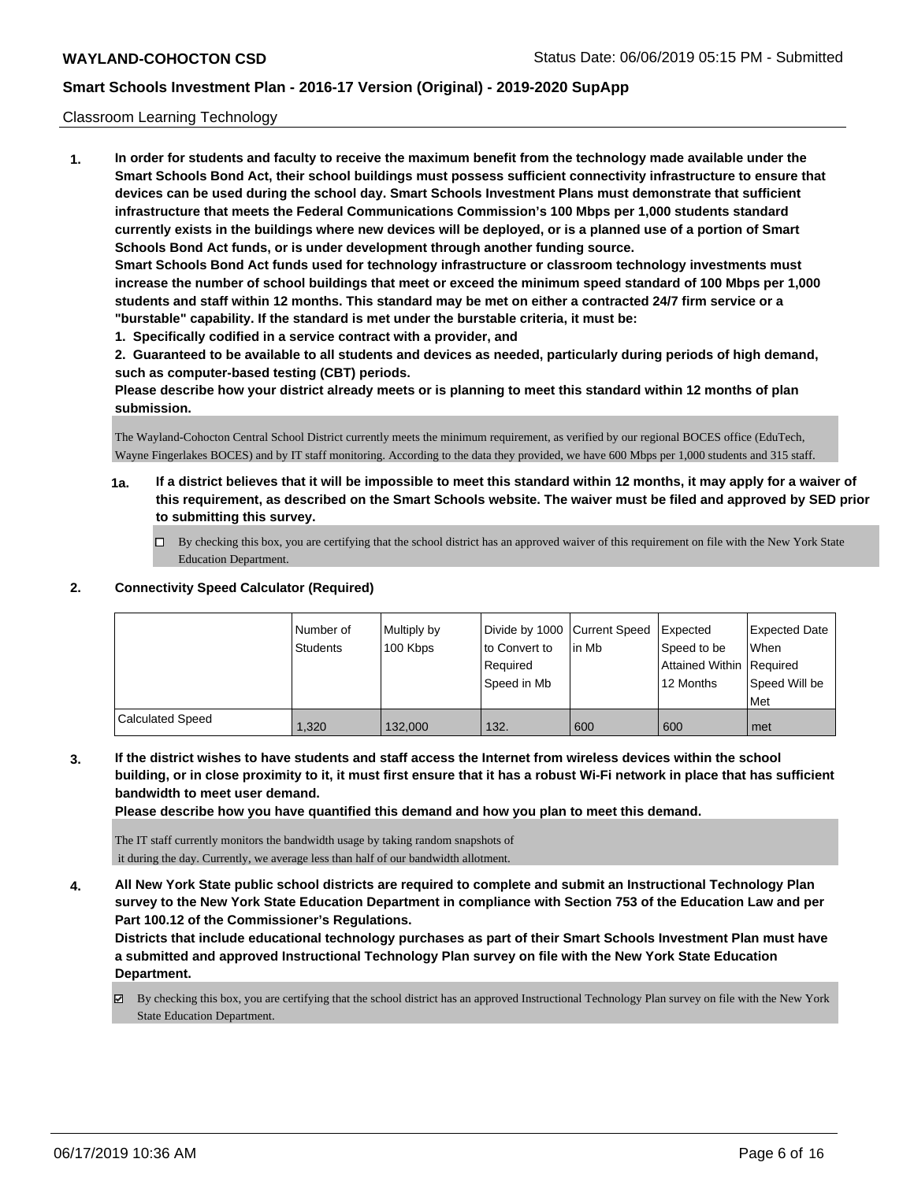#### Classroom Learning Technology

**1. In order for students and faculty to receive the maximum benefit from the technology made available under the Smart Schools Bond Act, their school buildings must possess sufficient connectivity infrastructure to ensure that devices can be used during the school day. Smart Schools Investment Plans must demonstrate that sufficient infrastructure that meets the Federal Communications Commission's 100 Mbps per 1,000 students standard currently exists in the buildings where new devices will be deployed, or is a planned use of a portion of Smart Schools Bond Act funds, or is under development through another funding source. Smart Schools Bond Act funds used for technology infrastructure or classroom technology investments must increase the number of school buildings that meet or exceed the minimum speed standard of 100 Mbps per 1,000 students and staff within 12 months. This standard may be met on either a contracted 24/7 firm service or a "burstable" capability. If the standard is met under the burstable criteria, it must be:**

**1. Specifically codified in a service contract with a provider, and**

**2. Guaranteed to be available to all students and devices as needed, particularly during periods of high demand, such as computer-based testing (CBT) periods.**

**Please describe how your district already meets or is planning to meet this standard within 12 months of plan submission.**

The Wayland-Cohocton Central School District currently meets the minimum requirement, as verified by our regional BOCES office (EduTech, Wayne Fingerlakes BOCES) and by IT staff monitoring. According to the data they provided, we have 600 Mbps per 1,000 students and 315 staff.

- **1a. If a district believes that it will be impossible to meet this standard within 12 months, it may apply for a waiver of this requirement, as described on the Smart Schools website. The waiver must be filed and approved by SED prior to submitting this survey.**
	- By checking this box, you are certifying that the school district has an approved waiver of this requirement on file with the New York State Education Department.

#### **2. Connectivity Speed Calculator (Required)**

|                         | Number of<br><b>Students</b> | Multiply by<br>100 Kbps | Divide by 1000 Current Speed<br>to Convert to<br>Required<br>Speed in Mb | lin Mb | Expected<br>Speed to be<br>Attained Within Required<br>12 Months | <b>Expected Date</b><br>When<br>Speed Will be<br>Met |
|-------------------------|------------------------------|-------------------------|--------------------------------------------------------------------------|--------|------------------------------------------------------------------|------------------------------------------------------|
| <b>Calculated Speed</b> | 1.320                        | 132.000                 | 132.                                                                     | 600    | 600                                                              | l met                                                |

**3. If the district wishes to have students and staff access the Internet from wireless devices within the school building, or in close proximity to it, it must first ensure that it has a robust Wi-Fi network in place that has sufficient bandwidth to meet user demand.**

**Please describe how you have quantified this demand and how you plan to meet this demand.**

The IT staff currently monitors the bandwidth usage by taking random snapshots of it during the day. Currently, we average less than half of our bandwidth allotment.

**4. All New York State public school districts are required to complete and submit an Instructional Technology Plan survey to the New York State Education Department in compliance with Section 753 of the Education Law and per Part 100.12 of the Commissioner's Regulations.**

**Districts that include educational technology purchases as part of their Smart Schools Investment Plan must have a submitted and approved Instructional Technology Plan survey on file with the New York State Education Department.**

By checking this box, you are certifying that the school district has an approved Instructional Technology Plan survey on file with the New York State Education Department.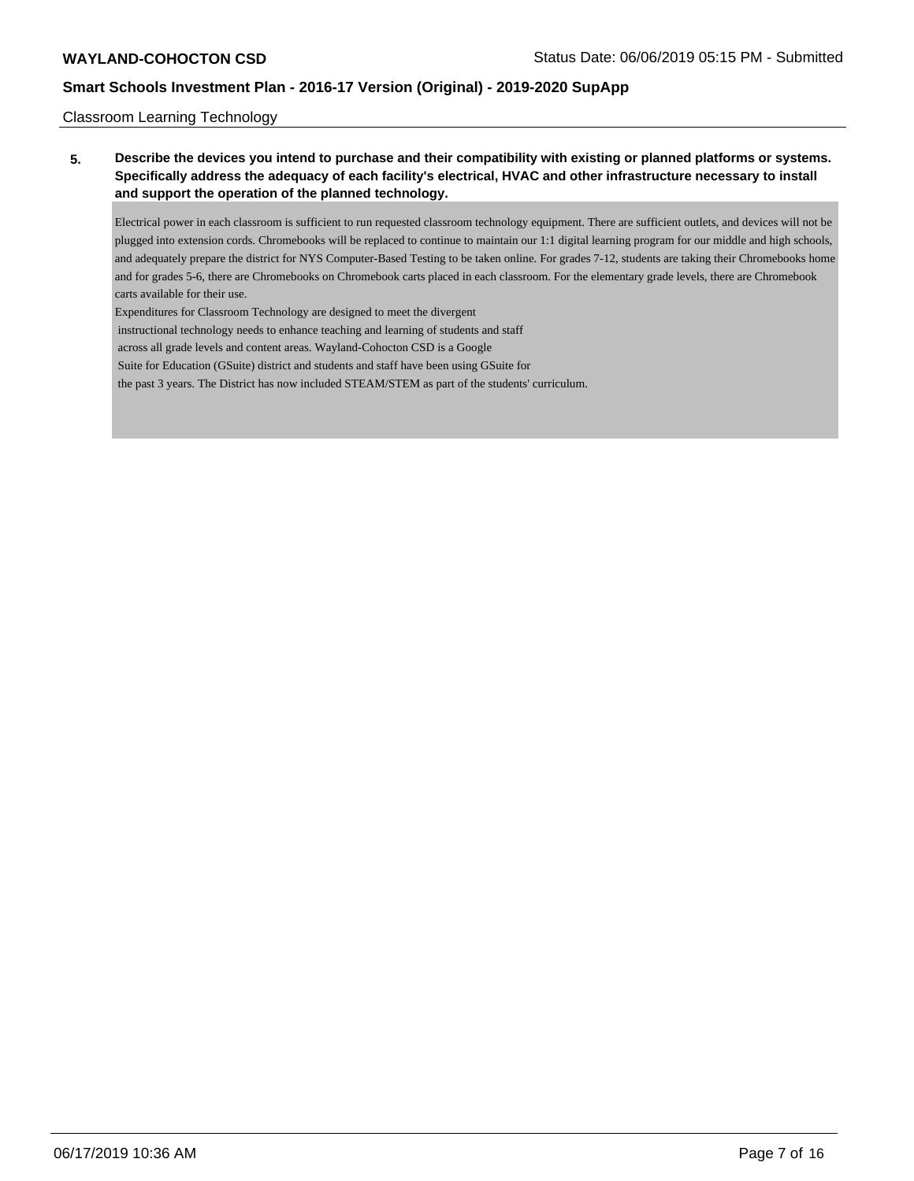Classroom Learning Technology

**5. Describe the devices you intend to purchase and their compatibility with existing or planned platforms or systems. Specifically address the adequacy of each facility's electrical, HVAC and other infrastructure necessary to install and support the operation of the planned technology.**

Electrical power in each classroom is sufficient to run requested classroom technology equipment. There are sufficient outlets, and devices will not be plugged into extension cords. Chromebooks will be replaced to continue to maintain our 1:1 digital learning program for our middle and high schools, and adequately prepare the district for NYS Computer-Based Testing to be taken online. For grades 7-12, students are taking their Chromebooks home and for grades 5-6, there are Chromebooks on Chromebook carts placed in each classroom. For the elementary grade levels, there are Chromebook carts available for their use.

Expenditures for Classroom Technology are designed to meet the divergent

instructional technology needs to enhance teaching and learning of students and staff

across all grade levels and content areas. Wayland-Cohocton CSD is a Google

Suite for Education (GSuite) district and students and staff have been using GSuite for

the past 3 years. The District has now included STEAM/STEM as part of the students' curriculum.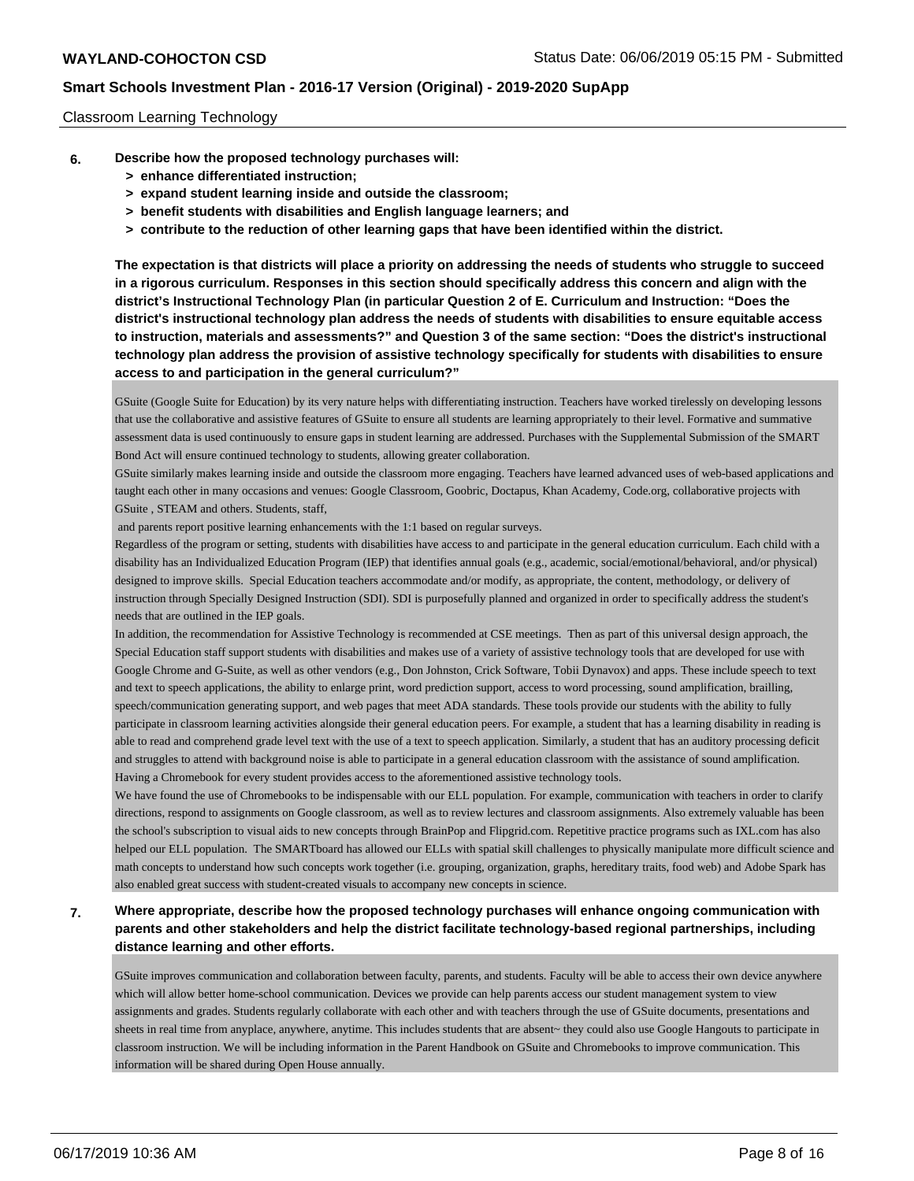#### Classroom Learning Technology

- **6. Describe how the proposed technology purchases will:**
	- **> enhance differentiated instruction;**
	- **> expand student learning inside and outside the classroom;**
	- **> benefit students with disabilities and English language learners; and**
	- **> contribute to the reduction of other learning gaps that have been identified within the district.**

**The expectation is that districts will place a priority on addressing the needs of students who struggle to succeed in a rigorous curriculum. Responses in this section should specifically address this concern and align with the district's Instructional Technology Plan (in particular Question 2 of E. Curriculum and Instruction: "Does the district's instructional technology plan address the needs of students with disabilities to ensure equitable access to instruction, materials and assessments?" and Question 3 of the same section: "Does the district's instructional technology plan address the provision of assistive technology specifically for students with disabilities to ensure access to and participation in the general curriculum?"**

GSuite (Google Suite for Education) by its very nature helps with differentiating instruction. Teachers have worked tirelessly on developing lessons that use the collaborative and assistive features of GSuite to ensure all students are learning appropriately to their level. Formative and summative assessment data is used continuously to ensure gaps in student learning are addressed. Purchases with the Supplemental Submission of the SMART Bond Act will ensure continued technology to students, allowing greater collaboration.

GSuite similarly makes learning inside and outside the classroom more engaging. Teachers have learned advanced uses of web-based applications and taught each other in many occasions and venues: Google Classroom, Goobric, Doctapus, Khan Academy, Code.org, collaborative projects with GSuite , STEAM and others. Students, staff,

and parents report positive learning enhancements with the 1:1 based on regular surveys.

Regardless of the program or setting, students with disabilities have access to and participate in the general education curriculum. Each child with a disability has an Individualized Education Program (IEP) that identifies annual goals (e.g., academic, social/emotional/behavioral, and/or physical) designed to improve skills. Special Education teachers accommodate and/or modify, as appropriate, the content, methodology, or delivery of instruction through Specially Designed Instruction (SDI). SDI is purposefully planned and organized in order to specifically address the student's needs that are outlined in the IEP goals.

In addition, the recommendation for Assistive Technology is recommended at CSE meetings. Then as part of this universal design approach, the Special Education staff support students with disabilities and makes use of a variety of assistive technology tools that are developed for use with Google Chrome and G-Suite, as well as other vendors (e.g., Don Johnston, Crick Software, Tobii Dynavox) and apps. These include speech to text and text to speech applications, the ability to enlarge print, word prediction support, access to word processing, sound amplification, brailling, speech/communication generating support, and web pages that meet ADA standards. These tools provide our students with the ability to fully participate in classroom learning activities alongside their general education peers. For example, a student that has a learning disability in reading is able to read and comprehend grade level text with the use of a text to speech application. Similarly, a student that has an auditory processing deficit and struggles to attend with background noise is able to participate in a general education classroom with the assistance of sound amplification. Having a Chromebook for every student provides access to the aforementioned assistive technology tools.

We have found the use of Chromebooks to be indispensable with our ELL population. For example, communication with teachers in order to clarify directions, respond to assignments on Google classroom, as well as to review lectures and classroom assignments. Also extremely valuable has been the school's subscription to visual aids to new concepts through BrainPop and Flipgrid.com. Repetitive practice programs such as IXL.com has also helped our ELL population. The SMARTboard has allowed our ELLs with spatial skill challenges to physically manipulate more difficult science and math concepts to understand how such concepts work together (i.e. grouping, organization, graphs, hereditary traits, food web) and Adobe Spark has also enabled great success with student-created visuals to accompany new concepts in science.

## **7. Where appropriate, describe how the proposed technology purchases will enhance ongoing communication with parents and other stakeholders and help the district facilitate technology-based regional partnerships, including distance learning and other efforts.**

GSuite improves communication and collaboration between faculty, parents, and students. Faculty will be able to access their own device anywhere which will allow better home-school communication. Devices we provide can help parents access our student management system to view assignments and grades. Students regularly collaborate with each other and with teachers through the use of GSuite documents, presentations and sheets in real time from anyplace, anywhere, anytime. This includes students that are absent~ they could also use Google Hangouts to participate in classroom instruction. We will be including information in the Parent Handbook on GSuite and Chromebooks to improve communication. This information will be shared during Open House annually.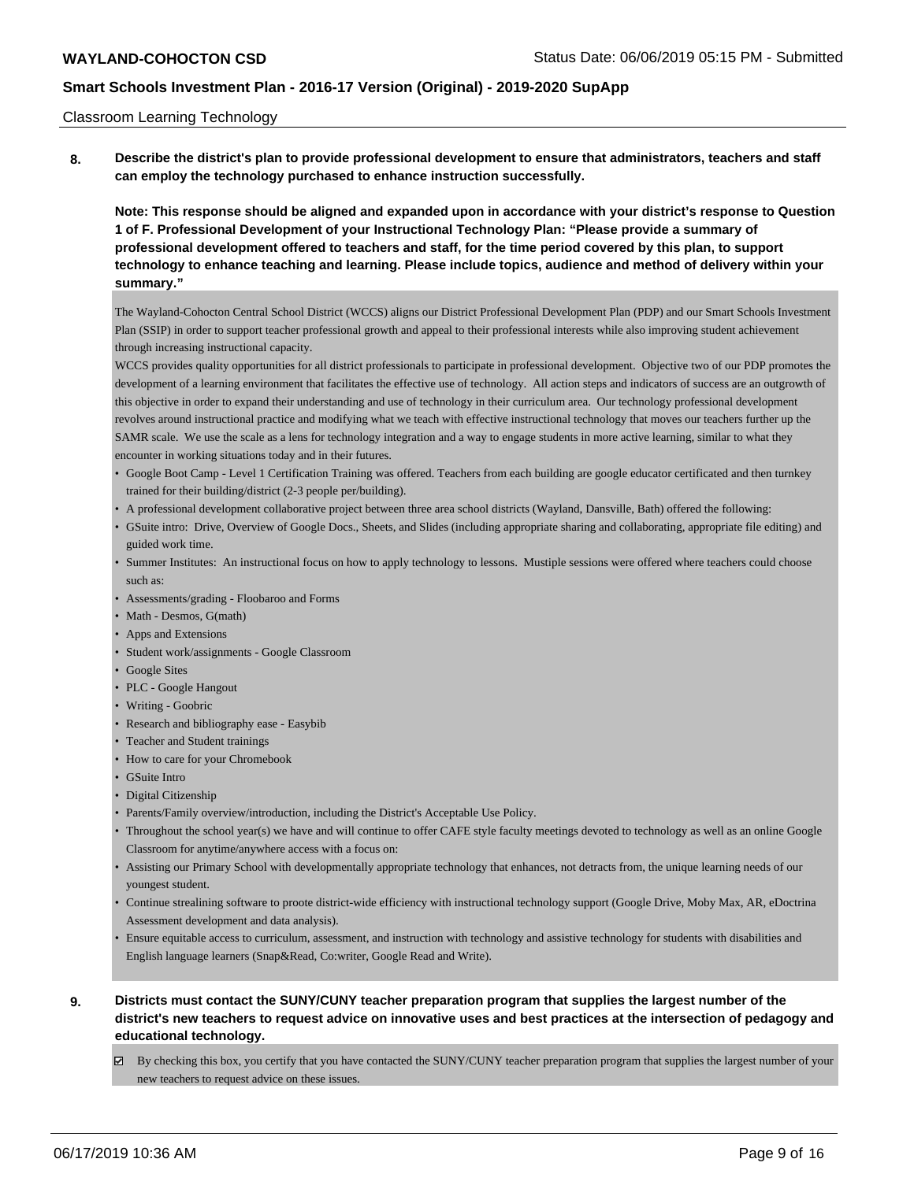#### Classroom Learning Technology

**8. Describe the district's plan to provide professional development to ensure that administrators, teachers and staff can employ the technology purchased to enhance instruction successfully.**

**Note: This response should be aligned and expanded upon in accordance with your district's response to Question 1 of F. Professional Development of your Instructional Technology Plan: "Please provide a summary of professional development offered to teachers and staff, for the time period covered by this plan, to support technology to enhance teaching and learning. Please include topics, audience and method of delivery within your summary."**

The Wayland-Cohocton Central School District (WCCS) aligns our District Professional Development Plan (PDP) and our Smart Schools Investment Plan (SSIP) in order to support teacher professional growth and appeal to their professional interests while also improving student achievement through increasing instructional capacity.

WCCS provides quality opportunities for all district professionals to participate in professional development. Objective two of our PDP promotes the development of a learning environment that facilitates the effective use of technology. All action steps and indicators of success are an outgrowth of this objective in order to expand their understanding and use of technology in their curriculum area. Our technology professional development revolves around instructional practice and modifying what we teach with effective instructional technology that moves our teachers further up the SAMR scale. We use the scale as a lens for technology integration and a way to engage students in more active learning, similar to what they encounter in working situations today and in their futures.

- Google Boot Camp Level 1 Certification Training was offered. Teachers from each building are google educator certificated and then turnkey trained for their building/district (2-3 people per/building).
- A professional development collaborative project between three area school districts (Wayland, Dansville, Bath) offered the following:
- GSuite intro: Drive, Overview of Google Docs., Sheets, and Slides (including appropriate sharing and collaborating, appropriate file editing) and guided work time.
- Summer Institutes: An instructional focus on how to apply technology to lessons. Mustiple sessions were offered where teachers could choose such as:
- Assessments/grading Floobaroo and Forms
- Math Desmos, G(math)
- Apps and Extensions
- Student work/assignments Google Classroom
- Google Sites
- PLC Google Hangout
- Writing Goobric
- Research and bibliography ease Easybib
- Teacher and Student trainings
- How to care for your Chromebook
- GSuite Intro
- Digital Citizenship
- Parents/Family overview/introduction, including the District's Acceptable Use Policy.
- Throughout the school year(s) we have and will continue to offer CAFE style faculty meetings devoted to technology as well as an online Google Classroom for anytime/anywhere access with a focus on:
- Assisting our Primary School with developmentally appropriate technology that enhances, not detracts from, the unique learning needs of our youngest student.
- Continue strealining software to proote district-wide efficiency with instructional technology support (Google Drive, Moby Max, AR, eDoctrina Assessment development and data analysis).
- Ensure equitable access to curriculum, assessment, and instruction with technology and assistive technology for students with disabilities and English language learners (Snap&Read, Co:writer, Google Read and Write).
- **9. Districts must contact the SUNY/CUNY teacher preparation program that supplies the largest number of the district's new teachers to request advice on innovative uses and best practices at the intersection of pedagogy and educational technology.**
	- By checking this box, you certify that you have contacted the SUNY/CUNY teacher preparation program that supplies the largest number of your new teachers to request advice on these issues.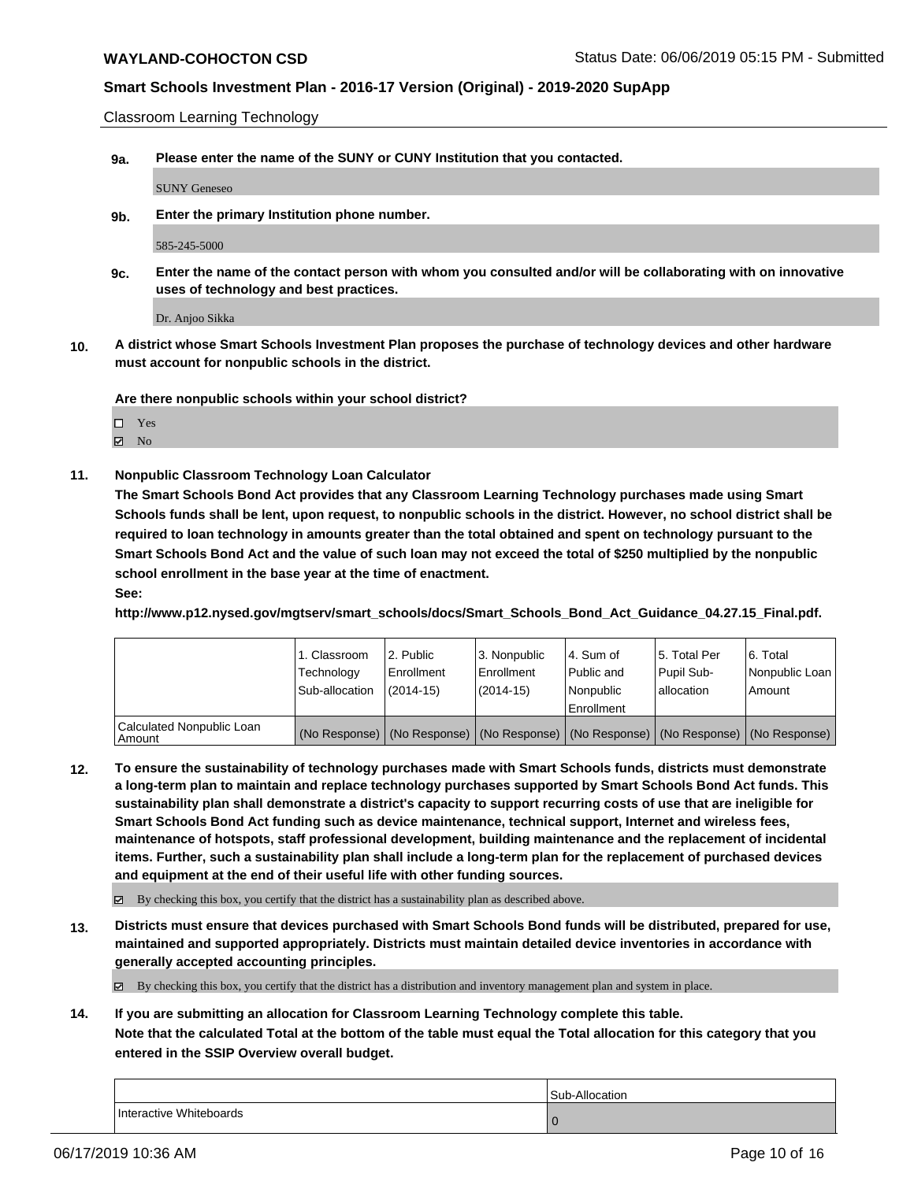Classroom Learning Technology

**9a. Please enter the name of the SUNY or CUNY Institution that you contacted.**

SUNY Geneseo

**9b. Enter the primary Institution phone number.**

585-245-5000

**9c. Enter the name of the contact person with whom you consulted and/or will be collaborating with on innovative uses of technology and best practices.**

Dr. Anjoo Sikka

**10. A district whose Smart Schools Investment Plan proposes the purchase of technology devices and other hardware must account for nonpublic schools in the district.**

**Are there nonpublic schools within your school district?**

Yes

- $\boxtimes$  No
- **11. Nonpublic Classroom Technology Loan Calculator**

**The Smart Schools Bond Act provides that any Classroom Learning Technology purchases made using Smart Schools funds shall be lent, upon request, to nonpublic schools in the district. However, no school district shall be required to loan technology in amounts greater than the total obtained and spent on technology pursuant to the Smart Schools Bond Act and the value of such loan may not exceed the total of \$250 multiplied by the nonpublic school enrollment in the base year at the time of enactment.**

**See:**

**http://www.p12.nysed.gov/mgtserv/smart\_schools/docs/Smart\_Schools\_Bond\_Act\_Guidance\_04.27.15\_Final.pdf.**

|                                       | 1. Classroom<br>Technology<br>Sub-allocation | l 2. Public<br>l Enrollment<br>$(2014 - 15)$ | l 3. Nonpublic<br>Enrollment<br>(2014-15) | 4. Sum of<br>Public and<br>l Nonpublic<br>Enrollment                                          | 15. Total Per<br>Pupil Sub-<br>allocation | l 6. Total<br>  Nonpublic Loan  <br>Amount |
|---------------------------------------|----------------------------------------------|----------------------------------------------|-------------------------------------------|-----------------------------------------------------------------------------------------------|-------------------------------------------|--------------------------------------------|
| Calculated Nonpublic Loan<br>l Amount |                                              |                                              |                                           | (No Response)   (No Response)   (No Response)   (No Response)   (No Response)   (No Response) |                                           |                                            |

**12. To ensure the sustainability of technology purchases made with Smart Schools funds, districts must demonstrate a long-term plan to maintain and replace technology purchases supported by Smart Schools Bond Act funds. This sustainability plan shall demonstrate a district's capacity to support recurring costs of use that are ineligible for Smart Schools Bond Act funding such as device maintenance, technical support, Internet and wireless fees, maintenance of hotspots, staff professional development, building maintenance and the replacement of incidental items. Further, such a sustainability plan shall include a long-term plan for the replacement of purchased devices and equipment at the end of their useful life with other funding sources.**

By checking this box, you certify that the district has a sustainability plan as described above.

**13. Districts must ensure that devices purchased with Smart Schools Bond funds will be distributed, prepared for use, maintained and supported appropriately. Districts must maintain detailed device inventories in accordance with generally accepted accounting principles.**

By checking this box, you certify that the district has a distribution and inventory management plan and system in place.

**14. If you are submitting an allocation for Classroom Learning Technology complete this table.**

**Note that the calculated Total at the bottom of the table must equal the Total allocation for this category that you entered in the SSIP Overview overall budget.**

|                         | Sub-Allocation |
|-------------------------|----------------|
| Interactive Whiteboards |                |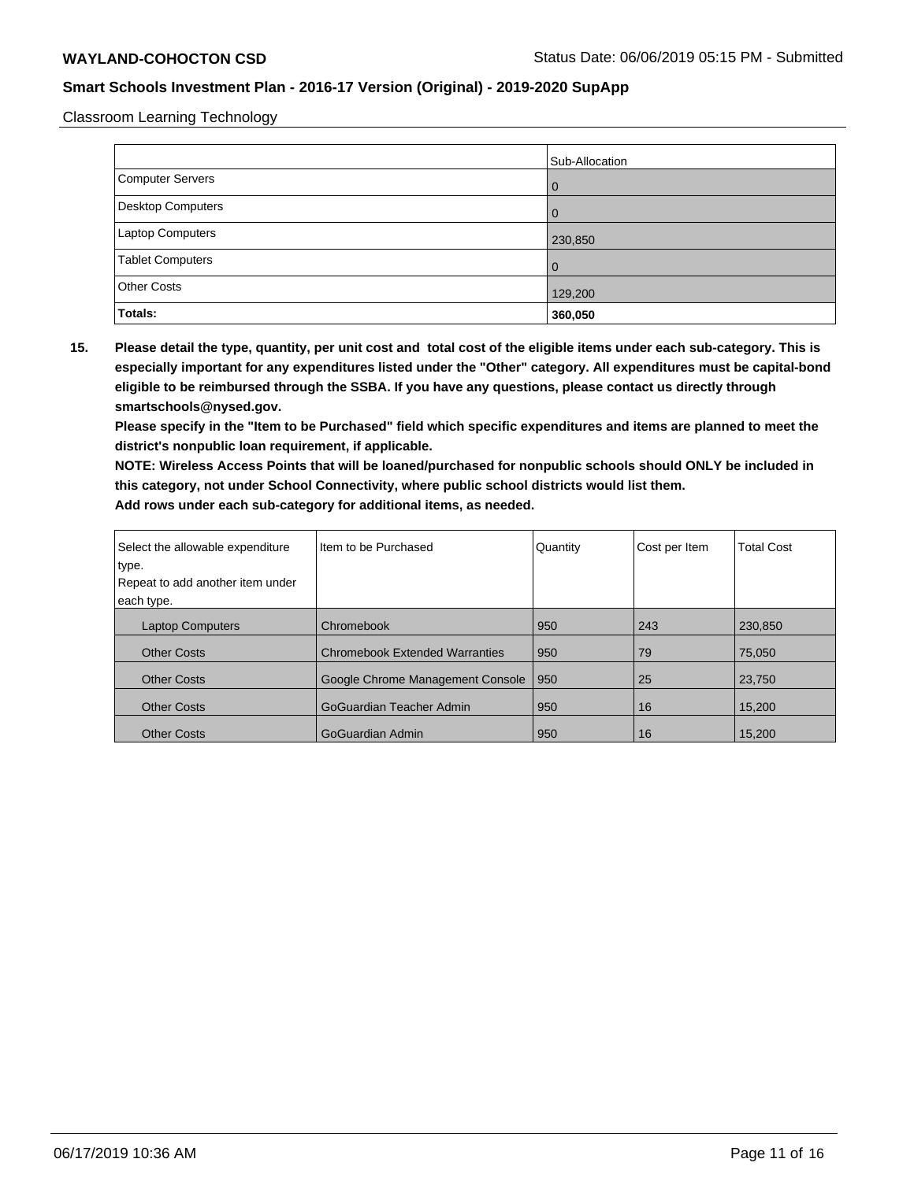Classroom Learning Technology

|                    | Sub-Allocation |
|--------------------|----------------|
| Computer Servers   | <b>0</b>       |
| Desktop Computers  | l 0            |
| Laptop Computers   | 230,850        |
| Tablet Computers   | l O            |
| <b>Other Costs</b> | 129,200        |
| Totals:            | 360,050        |

**15. Please detail the type, quantity, per unit cost and total cost of the eligible items under each sub-category. This is especially important for any expenditures listed under the "Other" category. All expenditures must be capital-bond eligible to be reimbursed through the SSBA. If you have any questions, please contact us directly through smartschools@nysed.gov.**

**Please specify in the "Item to be Purchased" field which specific expenditures and items are planned to meet the district's nonpublic loan requirement, if applicable.**

**NOTE: Wireless Access Points that will be loaned/purchased for nonpublic schools should ONLY be included in this category, not under School Connectivity, where public school districts would list them. Add rows under each sub-category for additional items, as needed.**

| Select the allowable expenditure          | Item to be Purchased                  | Quantity | Cost per Item | <b>Total Cost</b> |
|-------------------------------------------|---------------------------------------|----------|---------------|-------------------|
| type.<br>Repeat to add another item under |                                       |          |               |                   |
| each type.                                |                                       |          |               |                   |
|                                           |                                       |          |               |                   |
| <b>Laptop Computers</b>                   | Chromebook                            | 950      | 243           | 230.850           |
| <b>Other Costs</b>                        | <b>Chromebook Extended Warranties</b> | 950      | 79            | 75.050            |
| <b>Other Costs</b>                        | Google Chrome Management Console      | 950      | 25            | 23,750            |
| <b>Other Costs</b>                        | GoGuardian Teacher Admin              | 950      | 16            | 15,200            |
| <b>Other Costs</b>                        | GoGuardian Admin                      | 950      | 16            | 15,200            |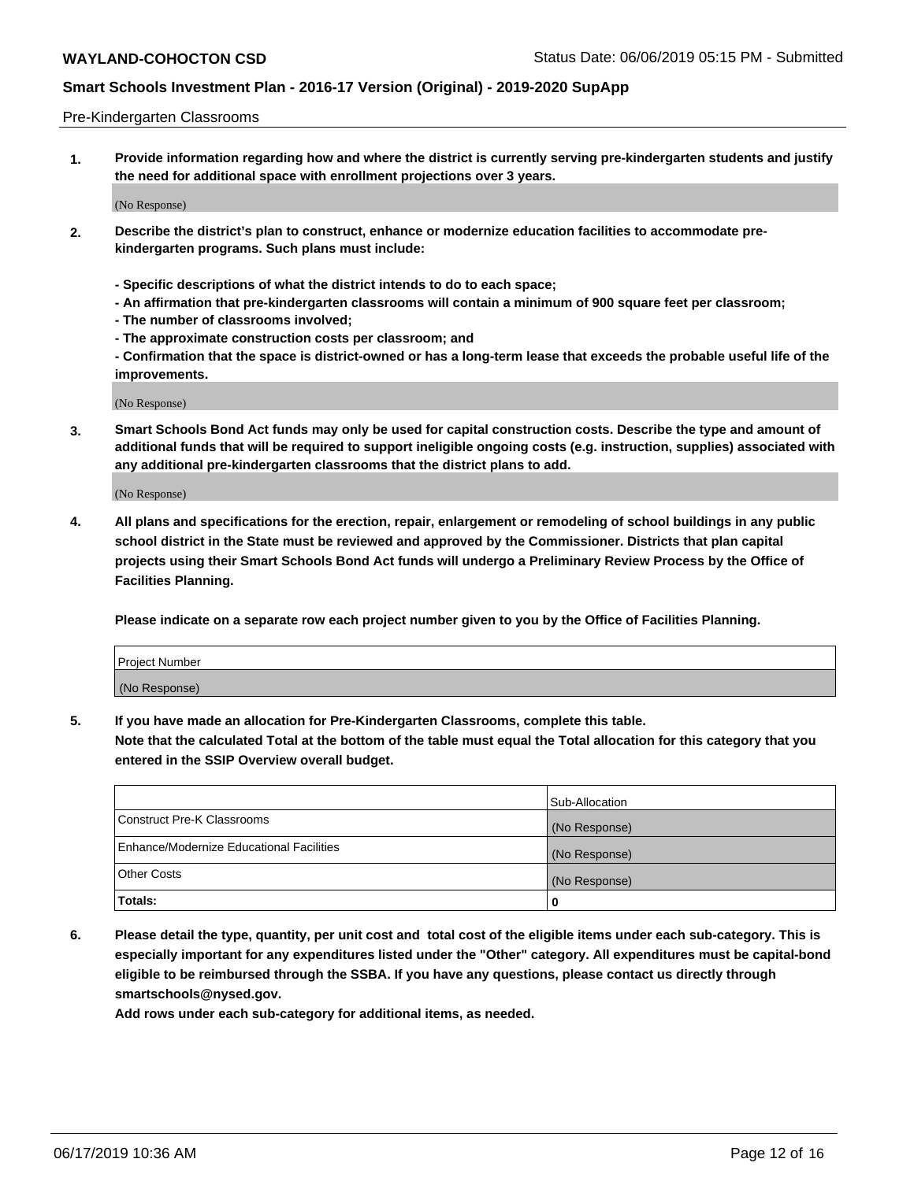#### Pre-Kindergarten Classrooms

**1. Provide information regarding how and where the district is currently serving pre-kindergarten students and justify the need for additional space with enrollment projections over 3 years.**

(No Response)

- **2. Describe the district's plan to construct, enhance or modernize education facilities to accommodate prekindergarten programs. Such plans must include:**
	- **Specific descriptions of what the district intends to do to each space;**
	- **An affirmation that pre-kindergarten classrooms will contain a minimum of 900 square feet per classroom;**
	- **The number of classrooms involved;**
	- **The approximate construction costs per classroom; and**
	- **Confirmation that the space is district-owned or has a long-term lease that exceeds the probable useful life of the improvements.**

(No Response)

**3. Smart Schools Bond Act funds may only be used for capital construction costs. Describe the type and amount of additional funds that will be required to support ineligible ongoing costs (e.g. instruction, supplies) associated with any additional pre-kindergarten classrooms that the district plans to add.**

(No Response)

**4. All plans and specifications for the erection, repair, enlargement or remodeling of school buildings in any public school district in the State must be reviewed and approved by the Commissioner. Districts that plan capital projects using their Smart Schools Bond Act funds will undergo a Preliminary Review Process by the Office of Facilities Planning.**

**Please indicate on a separate row each project number given to you by the Office of Facilities Planning.**

| Project Number |  |
|----------------|--|
| (No Response)  |  |
|                |  |

**5. If you have made an allocation for Pre-Kindergarten Classrooms, complete this table.**

**Note that the calculated Total at the bottom of the table must equal the Total allocation for this category that you entered in the SSIP Overview overall budget.**

|                                          | Sub-Allocation |
|------------------------------------------|----------------|
| Construct Pre-K Classrooms               | (No Response)  |
| Enhance/Modernize Educational Facilities | (No Response)  |
| <b>Other Costs</b>                       | (No Response)  |
| Totals:                                  | 0              |

**6. Please detail the type, quantity, per unit cost and total cost of the eligible items under each sub-category. This is especially important for any expenditures listed under the "Other" category. All expenditures must be capital-bond eligible to be reimbursed through the SSBA. If you have any questions, please contact us directly through smartschools@nysed.gov.**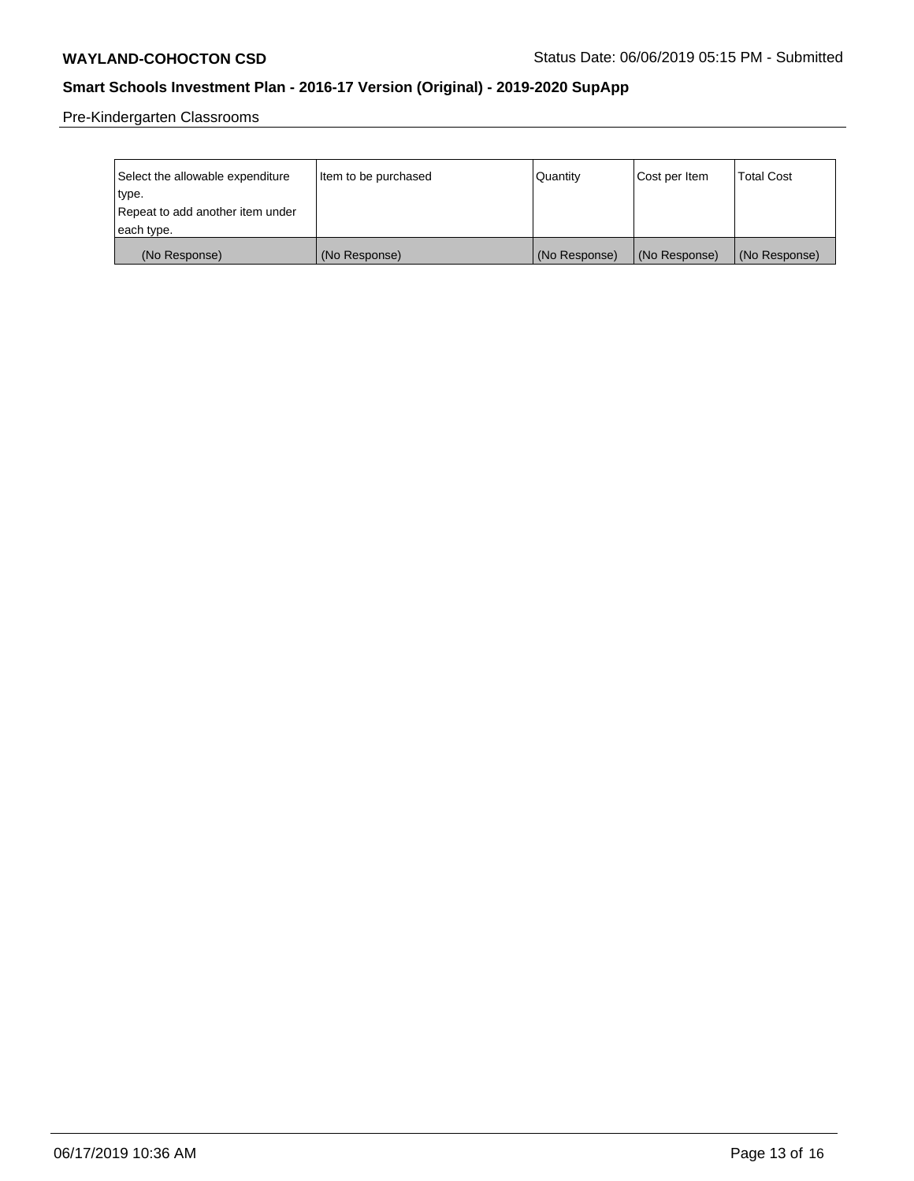Pre-Kindergarten Classrooms

| Select the allowable expenditure | Item to be purchased | Quantity      | Cost per Item | <b>Total Cost</b> |
|----------------------------------|----------------------|---------------|---------------|-------------------|
| type.                            |                      |               |               |                   |
| Repeat to add another item under |                      |               |               |                   |
| each type.                       |                      |               |               |                   |
| (No Response)                    | (No Response)        | (No Response) | (No Response) | (No Response)     |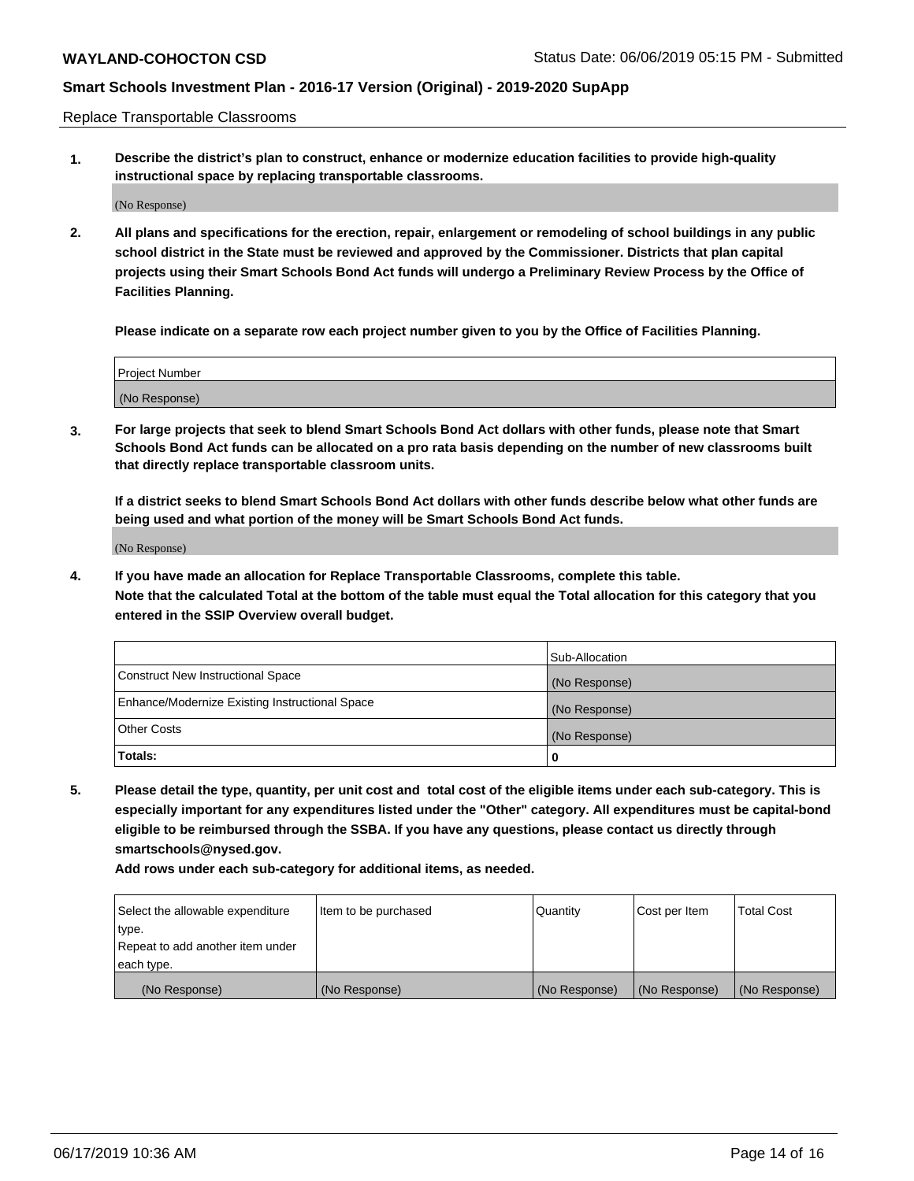Replace Transportable Classrooms

**1. Describe the district's plan to construct, enhance or modernize education facilities to provide high-quality instructional space by replacing transportable classrooms.**

(No Response)

**2. All plans and specifications for the erection, repair, enlargement or remodeling of school buildings in any public school district in the State must be reviewed and approved by the Commissioner. Districts that plan capital projects using their Smart Schools Bond Act funds will undergo a Preliminary Review Process by the Office of Facilities Planning.**

**Please indicate on a separate row each project number given to you by the Office of Facilities Planning.**

| Project Number |  |
|----------------|--|
|                |  |
| (No Response)  |  |

**3. For large projects that seek to blend Smart Schools Bond Act dollars with other funds, please note that Smart Schools Bond Act funds can be allocated on a pro rata basis depending on the number of new classrooms built that directly replace transportable classroom units.**

**If a district seeks to blend Smart Schools Bond Act dollars with other funds describe below what other funds are being used and what portion of the money will be Smart Schools Bond Act funds.**

(No Response)

**4. If you have made an allocation for Replace Transportable Classrooms, complete this table. Note that the calculated Total at the bottom of the table must equal the Total allocation for this category that you entered in the SSIP Overview overall budget.**

|                                                | Sub-Allocation |
|------------------------------------------------|----------------|
| Construct New Instructional Space              | (No Response)  |
| Enhance/Modernize Existing Instructional Space | (No Response)  |
| <b>Other Costs</b>                             | (No Response)  |
| Totals:                                        | 0              |

**5. Please detail the type, quantity, per unit cost and total cost of the eligible items under each sub-category. This is especially important for any expenditures listed under the "Other" category. All expenditures must be capital-bond eligible to be reimbursed through the SSBA. If you have any questions, please contact us directly through smartschools@nysed.gov.**

| Select the allowable expenditure | Item to be purchased | Quantity      | Cost per Item | Total Cost    |
|----------------------------------|----------------------|---------------|---------------|---------------|
| type.                            |                      |               |               |               |
| Repeat to add another item under |                      |               |               |               |
| each type.                       |                      |               |               |               |
| (No Response)                    | (No Response)        | (No Response) | (No Response) | (No Response) |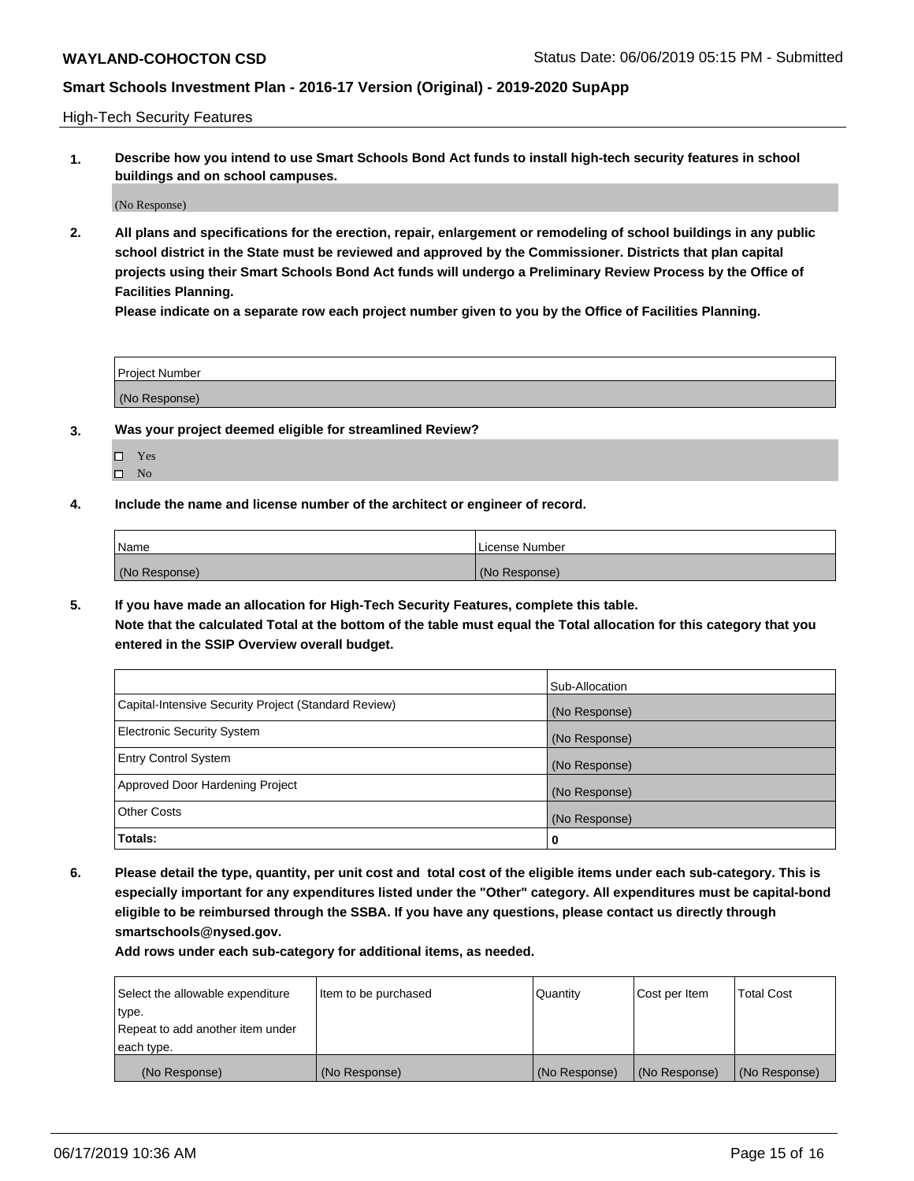High-Tech Security Features

**1. Describe how you intend to use Smart Schools Bond Act funds to install high-tech security features in school buildings and on school campuses.**

(No Response)

**2. All plans and specifications for the erection, repair, enlargement or remodeling of school buildings in any public school district in the State must be reviewed and approved by the Commissioner. Districts that plan capital projects using their Smart Schools Bond Act funds will undergo a Preliminary Review Process by the Office of Facilities Planning.** 

**Please indicate on a separate row each project number given to you by the Office of Facilities Planning.**

| <b>Project Number</b> |  |
|-----------------------|--|
| (No Response)         |  |

- **3. Was your project deemed eligible for streamlined Review?**
	- Yes
	- $\square$  No
- **4. Include the name and license number of the architect or engineer of record.**

| <b>Name</b>   | License Number |
|---------------|----------------|
| (No Response) | (No Response)  |

**5. If you have made an allocation for High-Tech Security Features, complete this table.**

**Note that the calculated Total at the bottom of the table must equal the Total allocation for this category that you entered in the SSIP Overview overall budget.**

|                                                      | Sub-Allocation |
|------------------------------------------------------|----------------|
| Capital-Intensive Security Project (Standard Review) | (No Response)  |
| <b>Electronic Security System</b>                    | (No Response)  |
| <b>Entry Control System</b>                          | (No Response)  |
| Approved Door Hardening Project                      | (No Response)  |
| <b>Other Costs</b>                                   | (No Response)  |
| Totals:                                              | 0              |

**6. Please detail the type, quantity, per unit cost and total cost of the eligible items under each sub-category. This is especially important for any expenditures listed under the "Other" category. All expenditures must be capital-bond eligible to be reimbursed through the SSBA. If you have any questions, please contact us directly through smartschools@nysed.gov.**

| Select the allowable expenditure | Item to be purchased | l Quantitv    | Cost per Item | <b>Total Cost</b> |
|----------------------------------|----------------------|---------------|---------------|-------------------|
| type.                            |                      |               |               |                   |
| Repeat to add another item under |                      |               |               |                   |
| each type.                       |                      |               |               |                   |
| (No Response)                    | (No Response)        | (No Response) | (No Response) | (No Response)     |